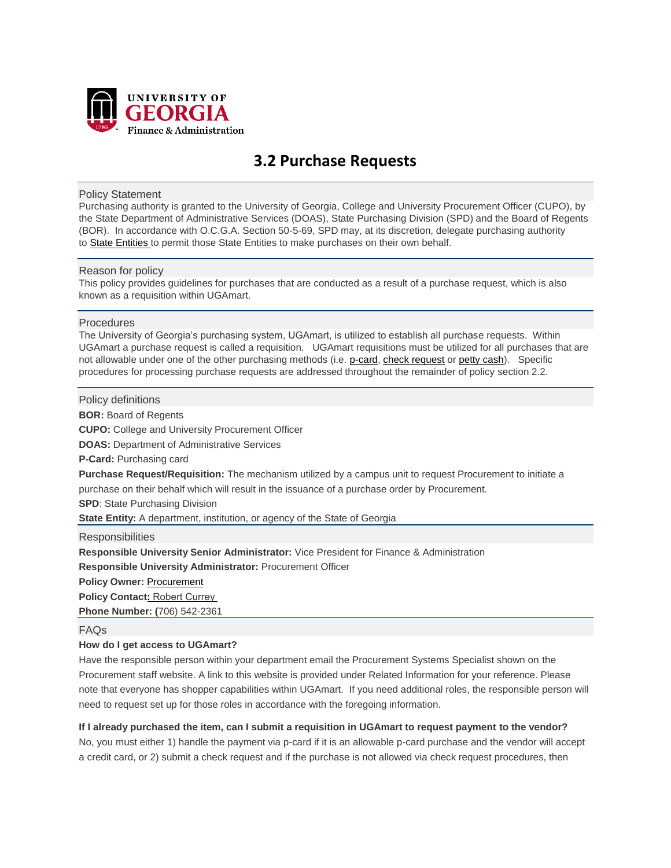

# **3.2 Purchase Requests**

#### Policy Statement

Purchasing authority is granted to the University of Georgia, College and University Procurement Officer (CUPO), by the State Department of Administrative Services (DOAS), State Purchasing Division (SPD) and the Board of Regents (BOR). In accordance with O.C.G.A. Section 50-5-69, SPD may, at its discretion, delegate purchasing authority to State [Entities](http://policies.uga.edu/FA/nodes/view/1004/Purchase-Requests#stateentity) to permit those State Entities to make purchases on their own behalf.

#### Reason for policy

This policy provides guidelines for purchases that are conducted as a result of a purchase request, which is also known as a requisition within UGAmart.

#### **Procedures**

The University of Georgia's purchasing system, UGAmart, is utilized to establish all purchase requests. Within UGAmart a purchase request is called a requisition. UGAmart requisitions must be utilized for all purchases that are not allowable under one of the other purchasing methods (i.e. [p-card,](http://www.policies.uga.edu/FA/nodes/view/1030/Purchasing-Card-P-Card) check [request](http://www.policies.uga.edu/FA/nodes/view/997/Check-Requests) or petty [cash\)](http://www.policies.uga.edu/FA/nodes/view/1054/Petty-Cash-Purchases). Specific procedures for processing purchase requests are addressed throughout the remainder of policy section 2.2.

#### Policy definitions

**BOR:** Board of Regents

**CUPO:** College and University Procurement Officer

**DOAS:** Department of Administrative Services

**P-Card:** Purchasing card

**Purchase Request/Requisition:** The mechanism utilized by a campus unit to request Procurement to initiate a purchase on their behalf which will result in the issuance of a purchase order by Procurement.

**SPD: State Purchasing Division** 

**State Entity:** A department, institution, or agency of the State of Georgia

**Responsibilities** 

**Responsible University Senior Administrator:** Vice President for Finance & Administration

**Responsible University Administrator:** Procurement Officer

**Policy Owner:** [Procurement](mailto:procure@uga.edu)

**Policy Contact: [Robert Currey](mailto:Bob.Currey@uga.edu)** 

**Phone Number: (**706) 542-2361

### FAQs

#### **How do I get access to UGAmart?**

Have the responsible person within your department email the Procurement Systems Specialist shown on the Procurement staff website. A link to this website is provided under Related Information for your reference. Please note that everyone has shopper capabilities within UGAmart. If you need additional roles, the responsible person will need to request set up for those roles in accordance with the foregoing information.

## **If I already purchased the item, can I submit a requisition in UGAmart to request payment to the vendor?**

No, you must either 1) handle the payment via p-card if it is an allowable p-card purchase and the vendor will accept a credit card, or 2) submit a check request and if the purchase is not allowed via check request procedures, then